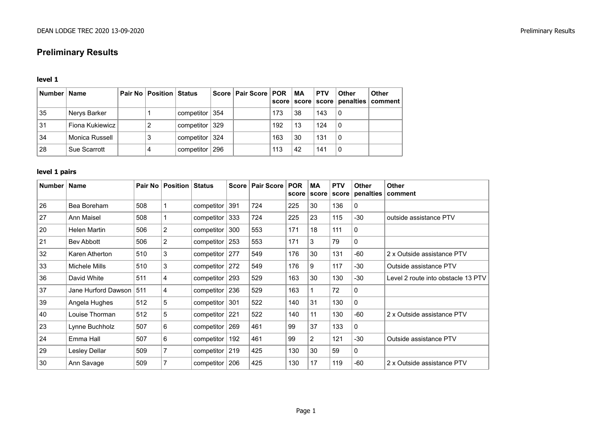# **Preliminary Results**

#### **level 1**

| Number   Name |                 | Pair No   Position   Status |                    | Score   Pair Score   POR | score | MA | <b>PTV</b> | <b>Other</b> | <b>Other</b><br>score   score   penalties   comment |
|---------------|-----------------|-----------------------------|--------------------|--------------------------|-------|----|------------|--------------|-----------------------------------------------------|
| 35            | Nerys Barker    |                             | competitor $ 354 $ |                          | 173   | 38 | 143        | 0            |                                                     |
| 31            | Fiona Kukiewicz |                             | competitor $ 329 $ |                          | 192   | 13 | 124        | 0            |                                                     |
| 34            | Monica Russell  |                             | competitor 324     |                          | 163   | 30 | 131        | 0            |                                                     |
| 28            | Sue Scarrott    |                             | competitor   296   |                          | 113   | 42 | 141        | 0            |                                                     |

## **level 1 pairs**

| Number | Name                |     | Pair No   Position | <b>Status</b>      | <b>Score</b> | Pair Score | <b>POR</b> | МA<br>score score | <b>PTV</b> | <b>Other</b><br>$score  $ penalties | <b>Other</b><br>comment            |
|--------|---------------------|-----|--------------------|--------------------|--------------|------------|------------|-------------------|------------|-------------------------------------|------------------------------------|
| 26     | Bea Boreham         | 508 |                    | competitor   391   |              | 724        | 225        | 30                | 136        | $\mathbf 0$                         |                                    |
| 27     | Ann Maisel          | 508 |                    | competitor $ 333$  |              | 724        | 225        | 23                | 115        | $-30$                               | outside assistance PTV             |
| 20     | Helen Martin        | 506 | $\overline{2}$     | competitor $ 300 $ |              | 553        | 171        | 18                | 111        | $\mathbf 0$                         |                                    |
| 21     | Bev Abbott          | 506 | 2                  | competitor $ 253 $ |              | 553        | 171        | 3                 | 79         | $\mathbf 0$                         |                                    |
| 32     | Karen Atherton      | 510 | 3                  | competitor $ 277$  |              | 549        | 176        | 30                | 131        | -60                                 | 2 x Outside assistance PTV         |
| 33     | Michele Mills       | 510 | 3                  | competitor $ 272 $ |              | 549        | 176        | 9                 | 117        | $-30$                               | Outside assistance PTV             |
| 36     | David White         | 511 | 4                  | competitor $ 293 $ |              | 529        | 163        | 30                | 130        | $-30$                               | Level 2 route into obstacle 13 PTV |
| 37     | Jane Hurford Dawson | 511 | 4                  | competitor $ 236 $ |              | 529        | 163        |                   | 72         | 0                                   |                                    |
| 39     | Angela Hughes       | 512 | 5                  | competitor $ 301$  |              | 522        | 140        | 31                | 130        | $\mathbf{0}$                        |                                    |
| 40     | Louise Thorman      | 512 | 5                  | competitor   221   |              | 522        | 140        | 11                | 130        | -60                                 | 2 x Outside assistance PTV         |
| 23     | Lynne Buchholz      | 507 | 6                  | competitor $ 269 $ |              | 461        | 99         | 37                | 133        | $\mathbf{0}$                        |                                    |
| 24     | Emma Hall           | 507 | 6                  | competitor $ 192 $ |              | 461        | 99         | $\overline{2}$    | 121        | $-30$                               | Outside assistance PTV             |
| 29     | Lesley Dellar       | 509 |                    | competitor $ 219 $ |              | 425        | 130        | 30                | 59         | 0                                   |                                    |
| 30     | Ann Savage          | 509 |                    | competitor $ 206 $ |              | 425        | 130        | 17                | 119        | $-60$                               | 2 x Outside assistance PTV         |